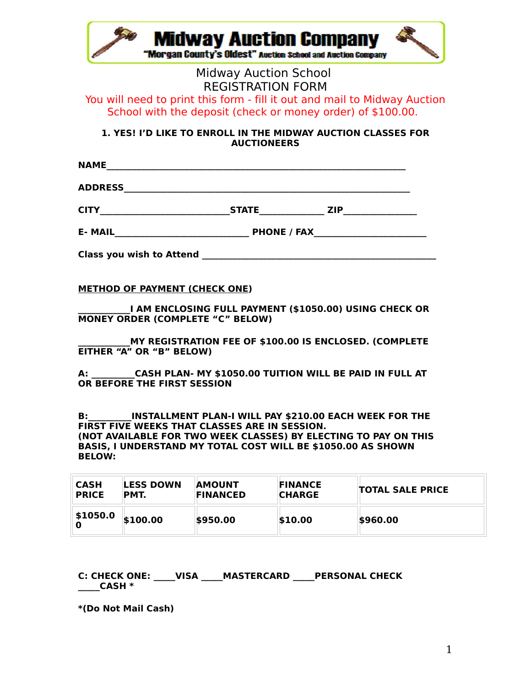| <b>Midway Auction Company</b><br>"Morgan County's Oldest" Auction School and Auction Company |  |
|----------------------------------------------------------------------------------------------|--|
|                                                                                              |  |

### Midway Auction School REGISTRATION FORM

# You will need to print this form - fill it out and mail to Midway Auction School with the deposit (check or money order) of \$100.00.

**1. YES! I'D LIKE TO ENROLL IN THE MIDWAY AUCTION CLASSES FOR AUCTIONEERS**

**NAME\_\_\_\_\_\_\_\_\_\_\_\_\_\_\_\_\_\_\_\_\_\_\_\_\_\_\_\_\_\_\_\_\_\_\_\_\_\_\_\_\_\_\_\_\_\_\_\_\_\_\_\_\_\_\_\_\_\_\_\_\_\_\_\_\_\_\_\_\_**

**ADDRESS\_\_\_\_\_\_\_\_\_\_\_\_\_\_\_\_\_\_\_\_\_\_\_\_\_\_\_\_\_\_\_\_\_\_\_\_\_\_\_\_\_\_\_\_\_\_\_\_\_\_\_\_\_\_\_\_\_\_\_\_\_\_\_\_\_\_**

| - - - - - |  |
|-----------|--|

**E- MAIL\_\_\_\_\_\_\_\_\_\_\_\_\_\_\_\_\_\_\_\_\_\_\_\_\_\_\_\_\_\_\_ PHONE / FAX\_\_\_\_\_\_\_\_\_\_\_\_\_\_\_\_\_\_\_\_\_\_\_\_\_\_**

**Class you wish to Attend Class of the set of the set of the set of the set of the set of the set of the set of the set of the set of the set of the set of the set of the set of the set of the set of the set of the set** 

**METHOD OF PAYMENT (CHECK ONE)**

**\_\_\_\_\_\_\_\_\_\_\_\_I AM ENCLOSING FULL PAYMENT (\$1050.00) USING CHECK OR MONEY ORDER (COMPLETE "C" BELOW)**

**\_\_\_\_\_\_\_\_\_\_\_\_MY REGISTRATION FEE OF \$100.00 IS ENCLOSED. (COMPLETE EITHER "A" OR "B" BELOW)**

**A: \_\_\_\_\_\_\_\_\_\_CASH PLAN- MY \$1050.00 TUITION WILL BE PAID IN FULL AT OR BEFORE THE FIRST SESSION**

**B:\_\_\_\_\_\_\_\_\_\_INSTALLMENT PLAN-I WILL PAY \$210.00 EACH WEEK FOR THE FIRST FIVE WEEKS THAT CLASSES ARE IN SESSION. (NOT AVAILABLE FOR TWO WEEK CLASSES) BY ELECTING TO PAY ON THIS BASIS, I UNDERSTAND MY TOTAL COST WILL BE \$1050.00 AS SHOWN BELOW:**

| <b>CASH</b>  | <b>LESS DOWN</b> | <b>AMOUNT</b>   | <b>FINANCE</b> | <b>TOTAL SALE PRICE</b> |
|--------------|------------------|-----------------|----------------|-------------------------|
| <b>PRICE</b> | PMT.             | <b>FINANCED</b> | <b>CHARGE</b>  |                         |
| \$1050.0     | \$100.00         | \$950.00        | \$10.00        | \$960.00                |

#### **C: CHECK ONE: \_\_\_\_\_VISA \_\_\_\_\_MASTERCARD \_\_\_\_\_PERSONAL CHECK \_\_\_\_\_CASH \***

**\*(Do Not Mail Cash)**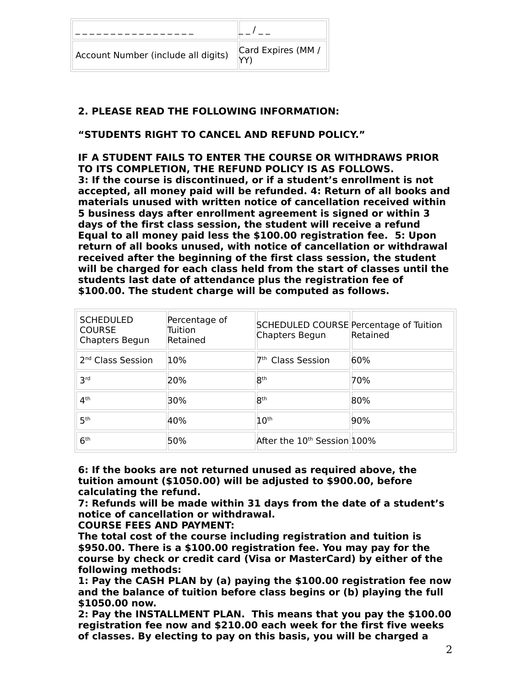| Account Number (include all digits) | Card Expires (MM / |
|-------------------------------------|--------------------|

## **2. PLEASE READ THE FOLLOWING INFORMATION:**

### **"STUDENTS RIGHT TO CANCEL AND REFUND POLICY."**

**IF A STUDENT FAILS TO ENTER THE COURSE OR WITHDRAWS PRIOR TO ITS COMPLETION, THE REFUND POLICY IS AS FOLLOWS. 3: If the course is discontinued, or if a student's enrollment is not accepted, all money paid will be refunded. 4: Return of all books and materials unused with written notice of cancellation received within 5 business days after enrollment agreement is signed or within 3 days of the first class session, the student will receive a refund Equal to all money paid less the \$100.00 registration fee. 5: Upon return of all books unused, with notice of cancellation or withdrawal received after the beginning of the first class session, the student will be charged for each class held from the start of classes until the students last date of attendance plus the registration fee of \$100.00. The student charge will be computed as follows.**

| <b>SCHEDULED</b><br><b>COURSE</b><br>Chapters Begun | Percentage of<br>Tuition<br>Retained | SCHEDULED COURSE Percentage of Tuition<br>Chapters Begun | Retained |
|-----------------------------------------------------|--------------------------------------|----------------------------------------------------------|----------|
| 2 <sup>nd</sup> Class Session                       | 10%                                  | 7 <sup>th</sup> Class Session                            | 60%      |
| <b>3rd</b>                                          | 20%                                  | <b>Rth</b>                                               | 70%      |
| 4 <sup>th</sup>                                     | 30%                                  | <b>Rth</b>                                               | 80%      |
| 5 <sup>th</sup>                                     | 40%                                  | 10 <sup>th</sup>                                         | 90%      |
| 6 <sup>th</sup>                                     | 50%                                  | After the 10 <sup>th</sup> Session 100%                  |          |

**6: If the books are not returned unused as required above, the tuition amount (\$1050.00) will be adjusted to \$900.00, before calculating the refund.**

**7: Refunds will be made within 31 days from the date of a student's notice of cancellation or withdrawal.**

**COURSE FEES AND PAYMENT:**

**The total cost of the course including registration and tuition is \$950.00. There is a \$100.00 registration fee. You may pay for the course by check or credit card (Visa or MasterCard) by either of the following methods:**

**1: Pay the CASH PLAN by (a) paying the \$100.00 registration fee now and the balance of tuition before class begins or (b) playing the full \$1050.00 now.**

**2: Pay the INSTALLMENT PLAN. This means that you pay the \$100.00 registration fee now and \$210.00 each week for the first five weeks of classes. By electing to pay on this basis, you will be charged a**